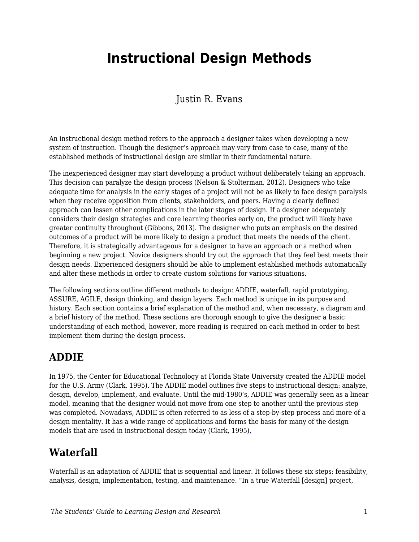# **Instructional Design Methods**

Justin R. Evans

An instructional design method refers to the approach a designer takes when developing a new system of instruction. Though the designer's approach may vary from case to case, many of the established methods of instructional design are similar in their fundamental nature.

The inexperienced designer may start developing a product without deliberately taking an approach. This decision can paralyze the design process (Nelson & Stolterman, 2012). Designers who take adequate time for analysis in the early stages of a project will not be as likely to face design paralysis when they receive opposition from clients, stakeholders, and peers. Having a clearly defined approach can lessen other complications in the later stages of design. If a designer adequately considers their design strategies and core learning theories early on, the product will likely have greater continuity throughout (Gibbons, 2013). The designer who puts an emphasis on the desired outcomes of a product will be more likely to design a product that meets the needs of the client. Therefore, it is strategically advantageous for a designer to have an approach or a method when beginning a new project. Novice designers should try out the approach that they feel best meets their design needs. Experienced designers should be able to implement established methods automatically and alter these methods in order to create custom solutions for various situations.

The following sections outline different methods to design: ADDIE, waterfall, rapid prototyping, ASSURE, AGILE, design thinking, and design layers. Each method is unique in its purpose and history. Each section contains a brief explanation of the method and, when necessary, a diagram and a brief history of the method. These sections are thorough enough to give the designer a basic understanding of each method, however, more reading is required on each method in order to best implement them during the design process.

#### **ADDIE**

In 1975, the Center for Educational Technology at Florida State University created the ADDIE model for the U.S. Army (Clark, 1995). The ADDIE model outlines five steps to instructional design: analyze, design, develop, implement, and evaluate. Until the mid-1980's, ADDIE was generally seen as a linear model, meaning that the designer would not move from one step to another until the previous step was completed. Nowadays, ADDIE is often referred to as less of a step-by-step process and more of a design mentality. It has a wide range of applications and forms the basis for many of the design models that are used in instructional design today (Clark, 1995)[.](http://www.nwlink.com/~donclark/history_isd/addie.html))

#### **Waterfall**

Waterfall is an adaptation of ADDIE that is sequential and linear. It follows these six steps: feasibility, analysis, design, implementation, testing, and maintenance. "In a true Waterfall [design] project,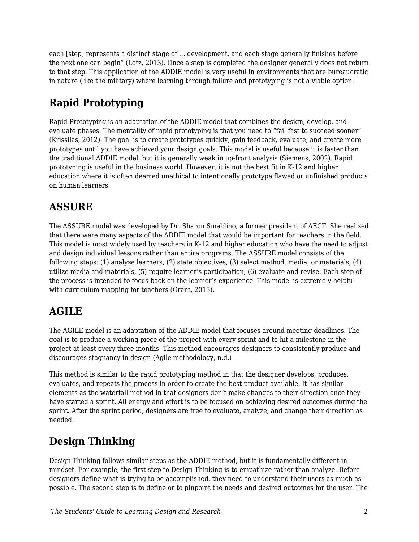each [step] represents a distinct stage of … development, and each stage generally finishes before the next one can begin" (Lotz, 2013). Once a step is completed the designer generally does not return to that step. This application of the ADDIE model is very useful in environments that are bureaucratic in nature (like the military) where learning through failure and prototyping is not a viable option.

## **Rapid Prototyping**

Rapid Prototyping is an adaptation of the ADDIE model that combines the design, develop, and evaluate phases. The mentality of rapid prototyping is that you need to "fail fast to succeed sooner" (Krissilas, 2012). The goal is to create prototypes quickly, gain feedback, evaluate, and create more prototypes until you have achieved your design goals. This model is useful because it is faster than the traditional ADDIE model, but it is generally weak in up-front analysis (Siemens, 2002). Rapid prototyping is useful in the business world. However, it is not the best fit in K-12 and higher education where it is often deemed unethical to intentionally prototype flawed or unfinished products on human learners.

## **ASSURE**

The ASSURE model was developed by Dr. Sharon Smaldino, a former president of AECT. She realized that there were many aspects of the ADDIE model that would be important for teachers in the field. This model is most widely used by teachers in K-12 and higher education who have the need to adjust and design individual lessons rather than entire programs. The ASSURE model consists of the following steps: (1) analyze learners, (2) state objectives, (3) select method, media, or materials, (4) utilize media and materials, (5) require learner's participation, (6) evaluate and revise. Each step of the process is intended to focus back on the learner's experience. This model is extremely helpful with curriculum mapping for teachers (Grant, 2013).

### **AGILE**

The AGILE model is an adaptation of the ADDIE model that focuses around meeting deadlines. The goal is to produce a working piece of the project with every sprint and to hit a milestone in the project at least every three months. This method encourages designers to consistently produce and discourages stagnancy in design (Agile methodology, n.d.)

This method is similar to the rapid prototyping method in that the designer develops, produces, evaluates, and repeats the process in order to create the best product available. It has similar elements as the waterfall method in that designers don't make changes to their direction once they have started a sprint. All energy and effort is to be focused on achieving desired outcomes during the sprint. After the sprint period, designers are free to evaluate, analyze, and change their direction as needed.

### **Design Thinking**

Design Thinking follows similar steps as the ADDIE method, but it is fundamentally different in mindset. For example, the first step to Design Thinking is to empathize rather than analyze. Before designers define what is trying to be accomplished, they need to understand their users as much as possible. The second step is to define or to pinpoint the needs and desired outcomes for the user. The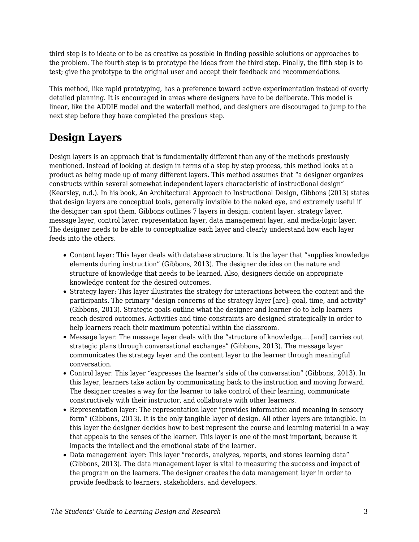third step is to ideate or to be as creative as possible in finding possible solutions or approaches to the problem. The fourth step is to prototype the ideas from the third step. Finally, the fifth step is to test; give the prototype to the original user and accept their feedback and recommendations.

This method, like rapid prototyping, has a preference toward active experimentation instead of overly detailed planning. It is encouraged in areas where designers have to be deliberate. This model is linear, like the ADDIE model and the waterfall method, and designers are discouraged to jump to the next step before they have completed the previous step.

#### **Design Layers**

Design layers is an approach that is fundamentally different than any of the methods previously mentioned. Instead of looking at design in terms of a step by step process, this method looks at a product as being made up of many different layers. This method assumes that "a designer organizes constructs within several somewhat independent layers characteristic of instructional design" (Kearsley, n.d.). In his book, An Architectural Approach to Instructional Design, Gibbons (2013) states that design layers are conceptual tools, generally invisible to the naked eye, and extremely useful if the designer can spot them. Gibbons outlines 7 layers in design: content layer, strategy layer, message layer, control layer, representation layer, data management layer, and media-logic layer. The designer needs to be able to conceptualize each layer and clearly understand how each layer feeds into the others.

- Content layer: This layer deals with database structure. It is the layer that "supplies knowledge elements during instruction" (Gibbons, 2013). The designer decides on the nature and structure of knowledge that needs to be learned. Also, designers decide on appropriate knowledge content for the desired outcomes.
- Strategy layer: This layer illustrates the strategy for interactions between the content and the participants. The primary "design concerns of the strategy layer [are]: goal, time, and activity" (Gibbons, 2013). Strategic goals outline what the designer and learner do to help learners reach desired outcomes. Activities and time constraints are designed strategically in order to help learners reach their maximum potential within the classroom.
- Message layer: The message layer deals with the "structure of knowledge,… [and] carries out strategic plans through conversational exchanges" (Gibbons, 2013). The message layer communicates the strategy layer and the content layer to the learner through meaningful conversation.
- Control layer: This layer "expresses the learner's side of the conversation" (Gibbons, 2013). In this layer, learners take action by communicating back to the instruction and moving forward. The designer creates a way for the learner to take control of their learning, communicate constructively with their instructor, and collaborate with other learners.
- Representation layer: The representation layer "provides information and meaning in sensory form" (Gibbons, 2013). It is the only tangible layer of design. All other layers are intangible. In this layer the designer decides how to best represent the course and learning material in a way that appeals to the senses of the learner. This layer is one of the most important, because it impacts the intellect and the emotional state of the learner.
- Data management layer: This layer "records, analyzes, reports, and stores learning data" (Gibbons, 2013). The data management layer is vital to measuring the success and impact of the program on the learners. The designer creates the data management layer in order to provide feedback to learners, stakeholders, and developers.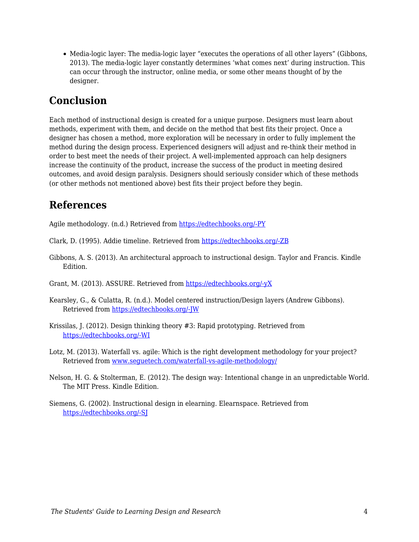Media-logic layer: The media-logic layer "executes the operations of all other layers" (Gibbons, 2013). The media-logic layer constantly determines 'what comes next' during instruction. This can occur through the instructor, online media, or some other means thought of by the designer.

#### **Conclusion**

Each method of instructional design is created for a unique purpose. Designers must learn about methods, experiment with them, and decide on the method that best fits their project. Once a designer has chosen a method, more exploration will be necessary in order to fully implement the method during the design process. Experienced designers will adjust and re-think their method in order to best meet the needs of their project. A well-implemented approach can help designers increase the continuity of the product, increase the success of the product in meeting desired outcomes, and avoid design paralysis. Designers should seriously consider which of these methods (or other methods not mentioned above) best fits their project before they begin.

#### **References**

Agile methodology. (n.d.) Retrieved from [https://edtechbooks.org/-PY](https://www.agilest.org/agile-methodology/)

- Clark, D. (1995). Addie timeline. Retrieved from [https://edtechbooks.org/-ZB](http://www.nwlink.com/~donclark/history_isd/addie.html))
- Gibbons, A. S. (2013). An architectural approach to instructional design. Taylor and Francis. Kindle Edition.
- Grant, M. (2013). ASSURE. Retrieved from [https://edtechbooks.org/-yX](http://www.instructionaldesign.org/models/assure.html)
- Kearsley, G., & Culatta, R. (n.d.). Model centered instruction/Design layers (Andrew Gibbons). Retrieved from [https://edtechbooks.org/-JW](http://www.instructionaldesign.org/theories/design-layers.html)
- Krissilas, J. (2012). Design thinking theory #3: Rapid prototyping. Retrieved from [https://edtechbooks.org/-WI](http://www.planningnotepad.com/2012/02/design-thinking-series-3-rapid.html)
- Lotz, M. (2013). Waterfall vs. agile: Which is the right development methodology for your project? Retrieved from [www.seguetech.com/waterfall-vs-agile-methodology/](http://www.seguetech.com/waterfall-vs-agile-methodology/)
- Nelson, H. G. & Stolterman, E. (2012). The design way: Intentional change in an unpredictable World. The MIT Press. Kindle Edition.
- Siemens, G. (2002). Instructional design in elearning. Elearnspace. Retrieved from [https://edtechbooks.org/-SJ](http://www.elearnspace.org/Articles/InstructionalDesign.htm)